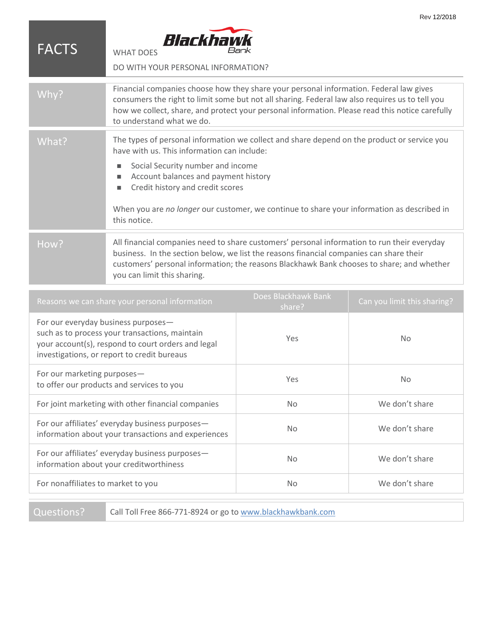| <b>FACTS</b> | Blackhawk<br>Bank<br><b>WHAT DOES</b><br>DO WITH YOUR PERSONAL INFORMATION?                                                                                                                                                                                                                                                                                                              |
|--------------|------------------------------------------------------------------------------------------------------------------------------------------------------------------------------------------------------------------------------------------------------------------------------------------------------------------------------------------------------------------------------------------|
| Why?         | Financial companies choose how they share your personal information. Federal law gives<br>consumers the right to limit some but not all sharing. Federal law also requires us to tell you<br>how we collect, share, and protect your personal information. Please read this notice carefully<br>to understand what we do.                                                                |
| What?        | The types of personal information we collect and share depend on the product or service you<br>have with us. This information can include:<br>Social Security number and income<br>ш<br>Account balances and payment history<br>ш<br>Credit history and credit scores<br>п<br>When you are no longer our customer, we continue to share your information as described in<br>this notice. |
| How?         | All financial companies need to share customers' personal information to run their everyday<br>business. In the section below, we list the reasons financial companies can share their<br>customers' personal information; the reasons Blackhawk Bank chooses to share; and whether<br>you can limit this sharing.                                                                       |

Rev 12/2018

| Does Blackhawk Bank<br>share? | Can you limit this sharing? |
|-------------------------------|-----------------------------|
| Yes                           | <b>No</b>                   |
| <b>Yes</b>                    | <b>No</b>                   |
| No.                           | We don't share              |
| No.                           | We don't share              |
| No.                           | We don't share              |
| No.                           | We don't share              |
|                               |                             |

Questions? Call Toll Free 866-771-8924 or go to [www.blackhawkbank.com](http://www.blackhawkbank.com/)